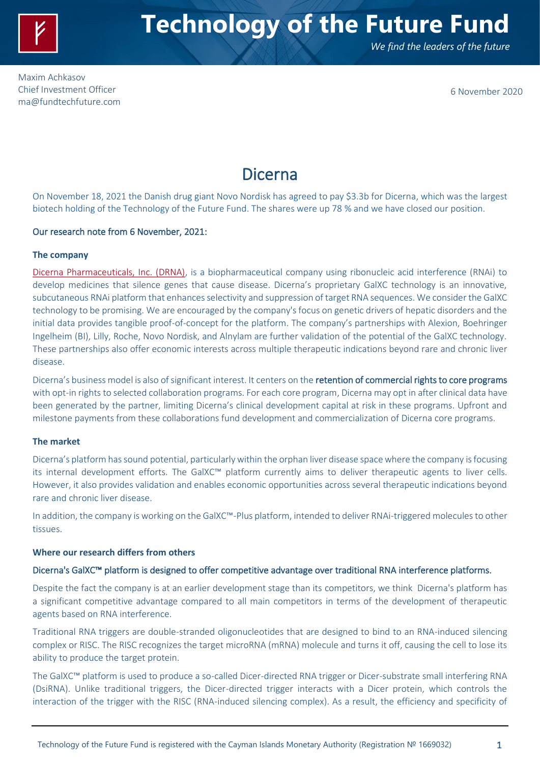

*We find the leaders of the future*

Maxim Achkasov Chief Investment Officer [ma@fundtechfuture.com](mailto:ma@achkasov.com)

6 November 2020

# Dicerna

On November 18, 2021 the Danish drug giant Novo Nordisk has agreed to pay \$3.3b for Dicerna, which was the largest biotech holding of the Technology of the Future Fund. The shares were up 78 % and we have closed our position.

# Our research note from 6 November, 2021:

# **The company**

Dicerna [Pharmaceuticals, Inc. \(DRNA\),](https://dicerna.com/) is a biopharmaceutical company using ribonucleic acid interference (RNAi) to develop medicines that silence genes that cause disease. Dicerna's proprietary GalXC technology is an innovative, subcutaneous RNAi platform that enhances selectivity and suppression of target RNA sequences. We consider the GalXC technology to be promising. We are encouraged by the company's focus on genetic drivers of hepatic disorders and the initial data provides tangible proof-of-concept for the platform. The company's partnerships with Alexion, Boehringer Ingelheim (BI), Lilly, Roche, Novo Nordisk, and Alnylam are further validation of the potential of the GalXC technology. These partnerships also offer economic interests across multiple therapeutic indications beyond rare and chronic liver disease.

Dicerna's business model is also of significant interest. It centers on the retention of commercial rights to core programs with opt-in rights to selected collaboration programs. For each core program, Dicerna may opt in after clinical data have been generated by the partner, limiting Dicerna's clinical development capital at risk in these programs. Upfront and milestone payments from these collaborations fund development and commercialization of Dicerna core programs.

#### **The market**

Dicerna's platform has sound potential, particularly within the orphan liver disease space where the company is focusing its internal development efforts. The GalXC™ platform currently aims to deliver therapeutic agents to liver cells. However, it also provides validation and enables economic opportunities across several therapeutic indications beyond rare and chronic liver disease.

In addition, the company is working on the GalXC™-Plus platform, intended to deliver RNAi-triggered molecules to other tissues.

# **Where our research differs from others**

#### Dicerna's GalXC™ platform is designed to offer competitive advantage over traditional RNA interference platforms.

Despite the fact the company is at an earlier development stage than its competitors, we think Dicerna's platform has a significant competitive advantage compared to all main competitors in terms of the development of therapeutic agents based on RNA interference.

Traditional RNA triggers are double-stranded oligonucleotides that are designed to bind to an RNA-induced silencing complex or RISC. The RISC recognizes the target microRNA (mRNA) molecule and turns it off, causing the cell to lose its ability to produce the target protein.

The GalXC™ platform is used to produce a so-called Dicer-directed RNA trigger or Dicer-substrate small interfering RNA (DsiRNA). Unlike traditional triggers, the Dicer-directed trigger interacts with a Dicer protein, which controls the interaction of the trigger with the RISC (RNA-induced silencing complex). As a result, the efficiency and specificity of